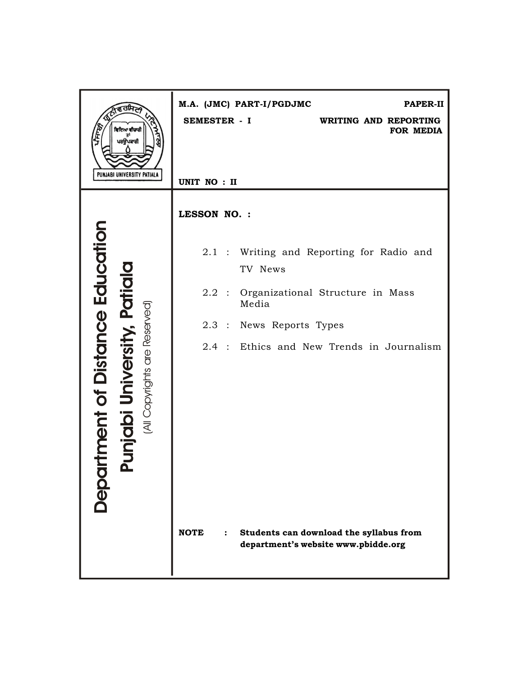| ਵਿਦਿਆ ਵੀਚਾਰੀ<br>ਪਰਉਪਕਾਰੀ                                                                                        | M.A. (JMC) PART-I/PGDJMC<br>PAPER-II<br>SEMESTER - I<br>WRITING AND REPORTING<br>FOR MEDIA |
|-----------------------------------------------------------------------------------------------------------------|--------------------------------------------------------------------------------------------|
| PUNJABI UNIVERSITY PATIALA                                                                                      | UNIT NO : II                                                                               |
|                                                                                                                 | LESSON NO. :                                                                               |
|                                                                                                                 | 2.1 : Writing and Reporting for Radio and<br>TV News                                       |
|                                                                                                                 | $2.2$ :<br>Organizational Structure in Mass<br>Media                                       |
|                                                                                                                 | $2.3$ :<br>News Reports Types                                                              |
|                                                                                                                 | 2.4 : Ethics and New Trends in Journalism                                                  |
| <b>Iment of Distance Education</b><br>unjabi University, Patial<br>(All Copyrights are Reserved)<br><b>DODC</b> | <b>NOTE</b><br>Students can download the syllabus from                                     |
|                                                                                                                 | department's website www.pbidde.org                                                        |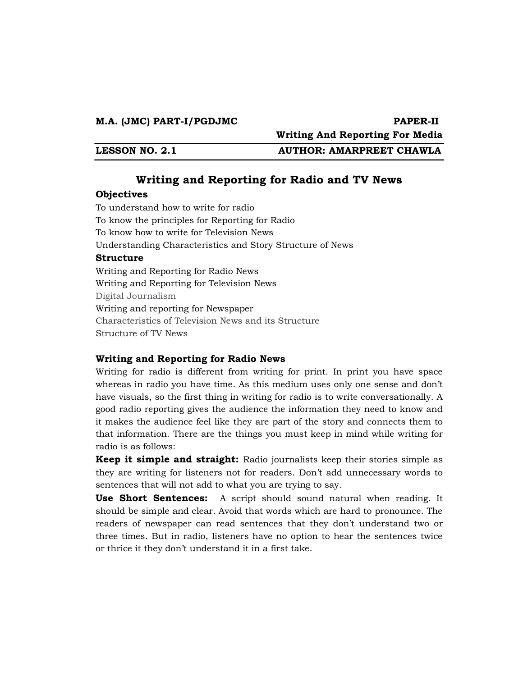**Writing And Reporting For Media** 

**LESSON NO. 2.1 AUTHOR: AMARPREET CHAWLA** 

# **Writing and Reporting for Radio and TV News**

#### **Objectives**

To understand how to write for radio To know the principles for Reporting for Radio To know how to write for Television News Understanding Characteristics and Story Structure of News **Structure**  Writing and Reporting for Radio News Writing and Reporting for Television News Digital Journalism Writing and reporting for Newspaper Characteristics of Television News and its Structure Structure of TV News

#### **Writing and Reporting for Radio News**

Writing for radio is different from writing for print. In print you have space whereas in radio you have time. As this medium uses only one sense and don't have visuals, so the first thing in writing for radio is to write conversationally. A good radio reporting gives the audience the information they need to know and it makes the audience feel like they are part of the story and connects them to that information. There are the things you must keep in mind while writing for radio is as follows:

**Keep it simple and straight:** Radio journalists keep their stories simple as they are writing for listeners not for readers. Don't add unnecessary words to sentences that will not add to what you are trying to say.

**Use Short Sentences:** A script should sound natural when reading. It should be simple and clear. Avoid that words which are hard to pronounce. The readers of newspaper can read sentences that they don't understand two or three times. But in radio, listeners have no option to hear the sentences twice or thrice it they don't understand it in a first take.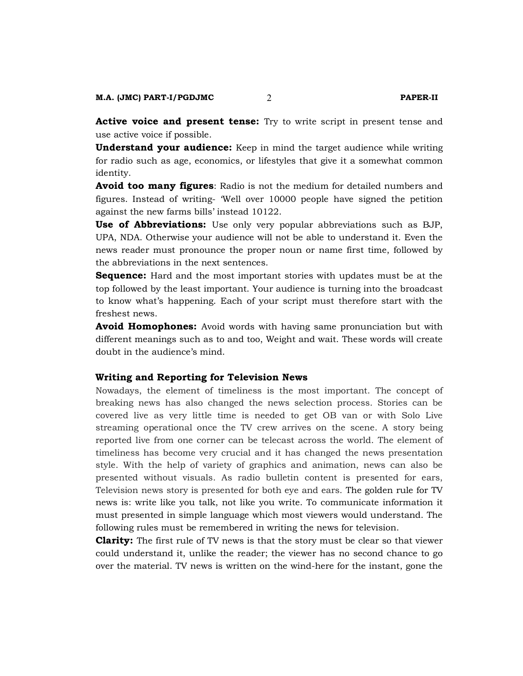**Active voice and present tense:** Try to write script in present tense and use active voice if possible.

**Understand your audience:** Keep in mind the target audience while writing for radio such as age, economics, or lifestyles that give it a somewhat common identity.

**Avoid too many figures**: Radio is not the medium for detailed numbers and figures. Instead of writing- 'Well over 10000 people have signed the petition against the new farms bills' instead 10122.

**Use of Abbreviations:** Use only very popular abbreviations such as BJP, UPA, NDA. Otherwise your audience will not be able to understand it. Even the news reader must pronounce the proper noun or name first time, followed by the abbreviations in the next sentences.

**Sequence:** Hard and the most important stories with updates must be at the top followed by the least important. Your audience is turning into the broadcast to know what's happening. Each of your script must therefore start with the freshest news.

**Avoid Homophones:** Avoid words with having same pronunciation but with different meanings such as to and too, Weight and wait. These words will create doubt in the audience's mind.

#### **Writing and Reporting for Television News**

Nowadays, the element of timeliness is the most important. The concept of breaking news has also changed the news selection process. Stories can be covered live as very little time is needed to get OB van or with Solo Live streaming operational once the TV crew arrives on the scene. A story being reported live from one corner can be telecast across the world. The element of timeliness has become very crucial and it has changed the news presentation style. With the help of variety of graphics and animation, news can also be presented without visuals. As radio bulletin content is presented for ears, Television news story is presented for both eye and ears. The golden rule for TV news is: write like you talk, not like you write. To communicate information it must presented in simple language which most viewers would understand. The following rules must be remembered in writing the news for television.

**Clarity:** The first rule of TV news is that the story must be clear so that viewer could understand it, unlike the reader; the viewer has no second chance to go over the material. TV news is written on the wind-here for the instant, gone the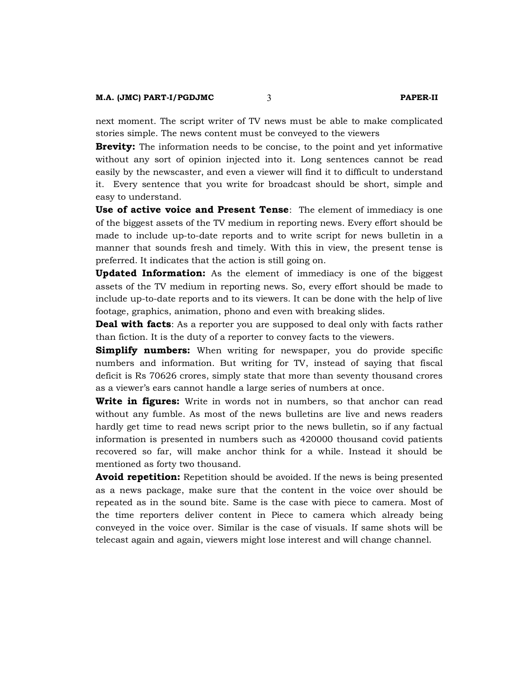next moment. The script writer of TV news must be able to make complicated stories simple. The news content must be conveyed to the viewers

**Brevity:** The information needs to be concise, to the point and yet informative without any sort of opinion injected into it. Long sentences cannot be read easily by the newscaster, and even a viewer will find it to difficult to understand it. Every sentence that you write for broadcast should be short, simple and easy to understand.

**Use of active voice and Present Tense**: The element of immediacy is one of the biggest assets of the TV medium in reporting news. Every effort should be made to include up-to-date reports and to write script for news bulletin in a manner that sounds fresh and timely. With this in view, the present tense is preferred. It indicates that the action is still going on.

**Updated Information:** As the element of immediacy is one of the biggest assets of the TV medium in reporting news. So, every effort should be made to include up-to-date reports and to its viewers. It can be done with the help of live footage, graphics, animation, phono and even with breaking slides.

**Deal with facts**: As a reporter you are supposed to deal only with facts rather than fiction. It is the duty of a reporter to convey facts to the viewers.

**Simplify numbers:** When writing for newspaper, you do provide specific numbers and information. But writing for TV, instead of saying that fiscal deficit is Rs 70626 crores, simply state that more than seventy thousand crores as a viewer's ears cannot handle a large series of numbers at once.

**Write in figures:** Write in words not in numbers, so that anchor can read without any fumble. As most of the news bulletins are live and news readers hardly get time to read news script prior to the news bulletin, so if any factual information is presented in numbers such as 420000 thousand covid patients recovered so far, will make anchor think for a while. Instead it should be mentioned as forty two thousand.

**Avoid repetition:** Repetition should be avoided. If the news is being presented as a news package, make sure that the content in the voice over should be repeated as in the sound bite. Same is the case with piece to camera. Most of the time reporters deliver content in Piece to camera which already being conveyed in the voice over. Similar is the case of visuals. If same shots will be telecast again and again, viewers might lose interest and will change channel.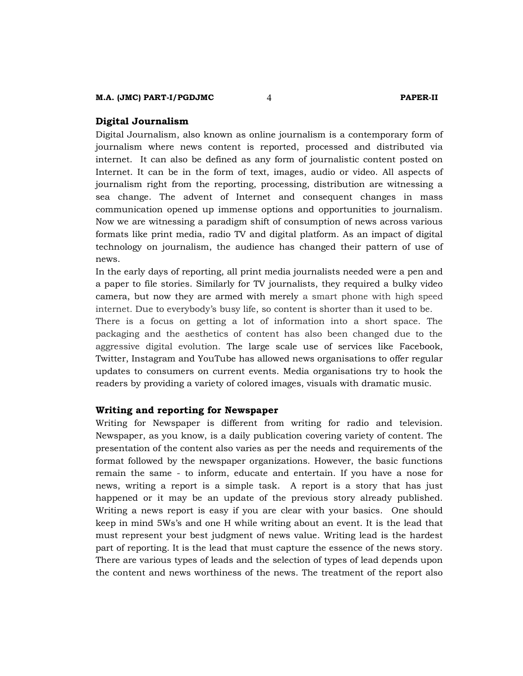#### **M.A. (JMC) PART-I/PGDJMC** 4 **PAPER-II**

#### **Digital Journalism**

Digital Journalism, also known as online journalism is a contemporary form of journalism where news content is reported, processed and distributed via internet. It can also be defined as any form of journalistic content posted on Internet. It can be in the form of text, images, audio or video. All aspects of journalism right from the reporting, processing, distribution are witnessing a sea change. The advent of Internet and consequent changes in mass communication opened up immense options and opportunities to journalism. Now we are witnessing a paradigm shift of consumption of news across various formats like print media, radio TV and digital platform. As an impact of digital technology on journalism, the audience has changed their pattern of use of news.

In the early days of reporting, all print media journalists needed were a pen and a paper to file stories. Similarly for TV journalists, they required a bulky video camera, but now they are armed with merely a smart phone with high speed internet. Due to everybody's busy life, so content is shorter than it used to be.

There is a focus on getting a lot of information into a short space. The packaging and the aesthetics of content has also been changed due to the aggressive digital evolution. The large scale use of services like Facebook, Twitter, Instagram and YouTube has allowed news organisations to offer regular updates to consumers on current events. Media organisations try to hook the readers by providing a variety of colored images, visuals with dramatic music.

#### **Writing and reporting for Newspaper**

Writing for Newspaper is different from writing for radio and television. Newspaper, as you know, is a daily publication covering variety of content. The presentation of the content also varies as per the needs and requirements of the format followed by the newspaper organizations. However, the basic functions remain the same - to inform, educate and entertain. If you have a nose for news, writing a report is a simple task. A report is a story that has just happened or it may be an update of the previous story already published. Writing a news report is easy if you are clear with your basics. One should keep in mind 5Ws's and one H while writing about an event. It is the lead that must represent your best judgment of news value. Writing lead is the hardest part of reporting. It is the lead that must capture the essence of the news story. There are various types of leads and the selection of types of lead depends upon the content and news worthiness of the news. The treatment of the report also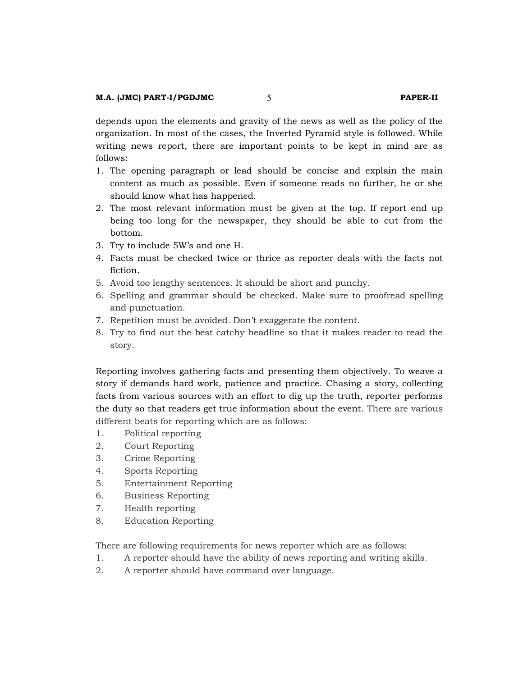depends upon the elements and gravity of the news as well as the policy of the organization. In most of the cases, the Inverted Pyramid style is followed. While writing news report, there are important points to be kept in mind are as follows:

- 1. The opening paragraph or lead should be concise and explain the main content as much as possible. Even if someone reads no further, he or she should know what has happened.
- 2. The most relevant information must be given at the top. If report end up being too long for the newspaper, they should be able to cut from the bottom.
- 3. Try to include 5W's and one H.
- 4. Facts must be checked twice or thrice as reporter deals with the facts not fiction.
- 5. Avoid too lengthy sentences. It should be short and punchy.
- 6. Spelling and grammar should be checked. Make sure to proofread spelling and punctuation.
- 7. Repetition must be avoided. Don't exaggerate the content.
- 8. Try to find out the best catchy headline so that it makes reader to read the story.

Reporting involves gathering facts and presenting them objectively. To weave a story if demands hard work, patience and practice. Chasing a story, collecting facts from various sources with an effort to dig up the truth, reporter performs the duty so that readers get true information about the event. There are various different beats for reporting which are as follows:

- 1. Political reporting
- 2. Court Reporting
- 3. Crime Reporting
- 4. Sports Reporting
- 5. Entertainment Reporting
- 6. Business Reporting
- 7. Health reporting
- 8. Education Reporting

There are following requirements for news reporter which are as follows:

- 1. A reporter should have the ability of news reporting and writing skills.
- 2. A reporter should have command over language.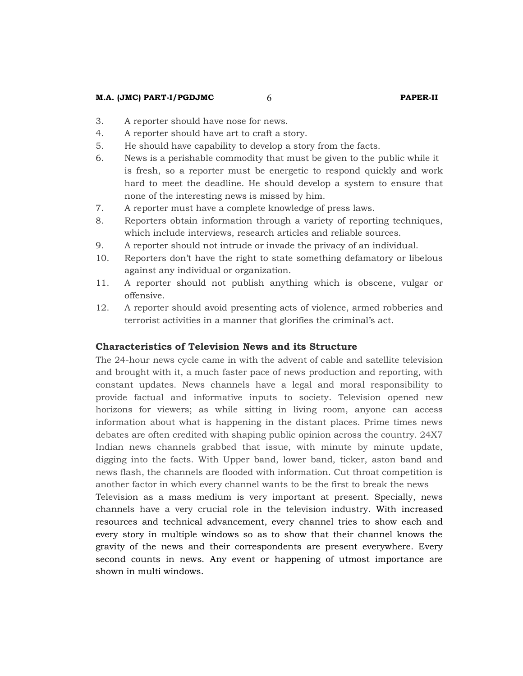#### **M.A. (JMC) PART-I/PGDJMC** 6 **PAPER-II**

- 3. A reporter should have nose for news.
- 4. A reporter should have art to craft a story.
- 5. He should have capability to develop a story from the facts.
- 6. News is a perishable commodity that must be given to the public while it is fresh, so a reporter must be energetic to respond quickly and work hard to meet the deadline. He should develop a system to ensure that none of the interesting news is missed by him.
- 7. A reporter must have a complete knowledge of press laws.
- 8. Reporters obtain information through a variety of reporting techniques, which include interviews, research articles and reliable sources.
- 9. A reporter should not intrude or invade the privacy of an individual.
- 10. Reporters don't have the right to state something defamatory or libelous against any individual or organization.
- 11. A reporter should not publish anything which is obscene, vulgar or offensive.
- 12. A reporter should avoid presenting acts of violence, armed robberies and terrorist activities in a manner that glorifies the criminal's act.

### **Characteristics of Television News and its Structure**

The 24-hour news cycle came in with the advent of cable and satellite television and brought with it, a much faster pace of news production and reporting, with constant updates. News channels have a legal and moral responsibility to provide factual and informative inputs to society. Television opened new horizons for viewers; as while sitting in living room, anyone can access information about what is happening in the distant places. Prime times news debates are often credited with shaping public opinion across the country. 24X7 Indian news channels grabbed that issue, with minute by minute update, digging into the facts. With Upper band, lower band, ticker, aston band and news flash, the channels are flooded with information. Cut throat competition is another factor in which every channel wants to be the first to break the news

Television as a mass medium is very important at present. Specially, news channels have a very crucial role in the television industry. With increased resources and technical advancement, every channel tries to show each and every story in multiple windows so as to show that their channel knows the gravity of the news and their correspondents are present everywhere. Every second counts in news. Any event or happening of utmost importance are shown in multi windows.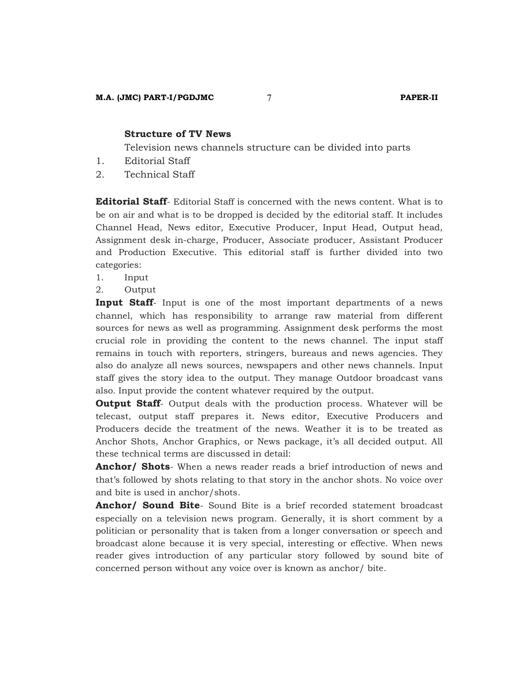#### **Structure of TV News**

Television news channels structure can be divided into parts

- 1. Editorial Staff
- 2. Technical Staff

**Editorial Staff**- Editorial Staff is concerned with the news content. What is to be on air and what is to be dropped is decided by the editorial staff. It includes Channel Head, News editor, Executive Producer, Input Head, Output head, Assignment desk in-charge, Producer, Associate producer, Assistant Producer and Production Executive. This editorial staff is further divided into two categories:

- 1. Input
- 2. Output

**Input Staff**- Input is one of the most important departments of a news channel, which has responsibility to arrange raw material from different sources for news as well as programming. Assignment desk performs the most crucial role in providing the content to the news channel. The input staff remains in touch with reporters, stringers, bureaus and news agencies. They also do analyze all news sources, newspapers and other news channels. Input staff gives the story idea to the output. They manage Outdoor broadcast vans also. Input provide the content whatever required by the output.

**Output Staff**- Output deals with the production process. Whatever will be telecast, output staff prepares it. News editor, Executive Producers and Producers decide the treatment of the news. Weather it is to be treated as Anchor Shots, Anchor Graphics, or News package, it's all decided output. All these technical terms are discussed in detail:

**Anchor/ Shots**- When a news reader reads a brief introduction of news and that's followed by shots relating to that story in the anchor shots. No voice over and bite is used in anchor/shots.

**Anchor/ Sound Bite**- Sound Bite is a brief recorded statement broadcast especially on a television news program. Generally, it is short comment by a politician or personality that is taken from a longer conversation or speech and broadcast alone because it is very special, interesting or effective. When news reader gives introduction of any particular story followed by sound bite of concerned person without any voice over is known as anchor/ bite.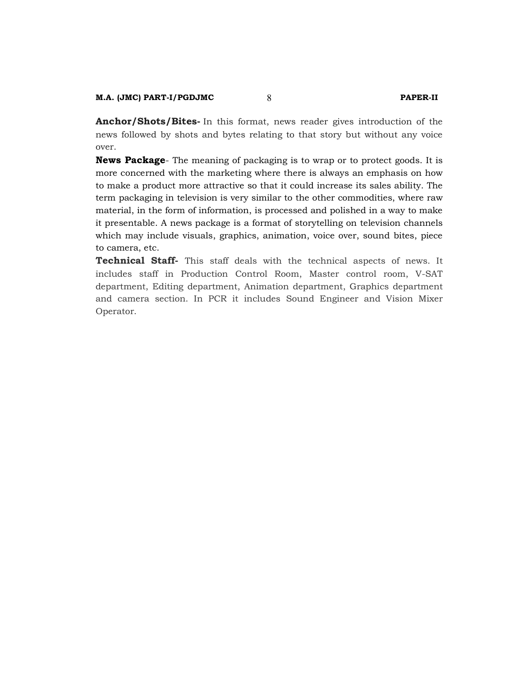**Anchor/Shots/Bites-** In this format, news reader gives introduction of the news followed by shots and bytes relating to that story but without any voice over.

**News Package**- The meaning of packaging is to wrap or to protect goods. It is more concerned with the marketing where there is always an emphasis on how to make a product more attractive so that it could increase its sales ability. The term packaging in television is very similar to the other commodities, where raw material, in the form of information, is processed and polished in a way to make it presentable. A news package is a format of storytelling on television channels which may include visuals, graphics, animation, voice over, sound bites, piece to camera, etc.

**Technical Staff-** This staff deals with the technical aspects of news. It includes staff in Production Control Room, Master control room, V-SAT department, Editing department, Animation department, Graphics department and camera section. In PCR it includes Sound Engineer and Vision Mixer Operator.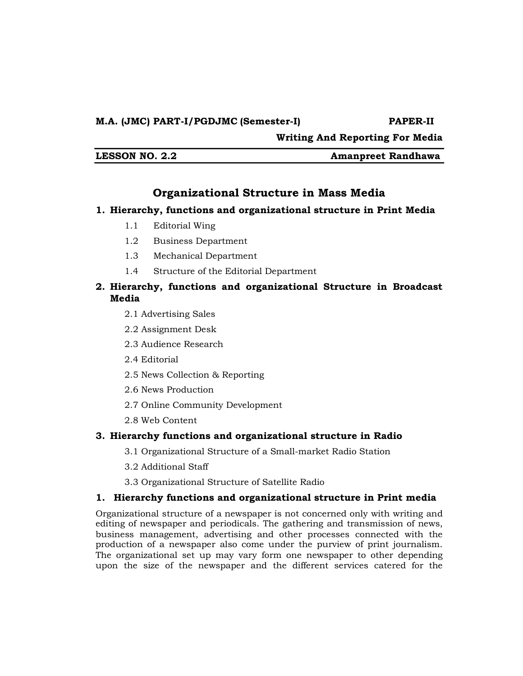**Writing And Reporting For Media** 

**LESSON NO. 2.2 Amanpreet Randhawa**

# **Organizational Structure in Mass Media**

# **1. Hierarchy, functions and organizational structure in Print Media**

- 1.1 Editorial Wing
- 1.2 Business Department
- 1.3 Mechanical Department
- 1.4 Structure of the Editorial Department

# **2. Hierarchy, functions and organizational Structure in Broadcast Media**

- 2.1 Advertising Sales
- 2.2 Assignment Desk
- 2.3 Audience Research
- 2.4 Editorial
- 2.5 News Collection & Reporting
- 2.6 News Production
- 2.7 Online Community Development
- 2.8 Web Content

# **3. Hierarchy functions and organizational structure in Radio**

- 3.1 Organizational Structure of a Small-market Radio Station
- 3.2 Additional Staff
- 3.3 Organizational Structure of Satellite Radio

# **1. Hierarchy functions and organizational structure in Print media**

Organizational structure of a newspaper is not concerned only with writing and editing of newspaper and periodicals. The gathering and transmission of news, business management, advertising and other processes connected with the production of a newspaper also come under the purview of print journalism. The organizational set up may vary form one newspaper to other depending upon the size of the newspaper and the different services catered for the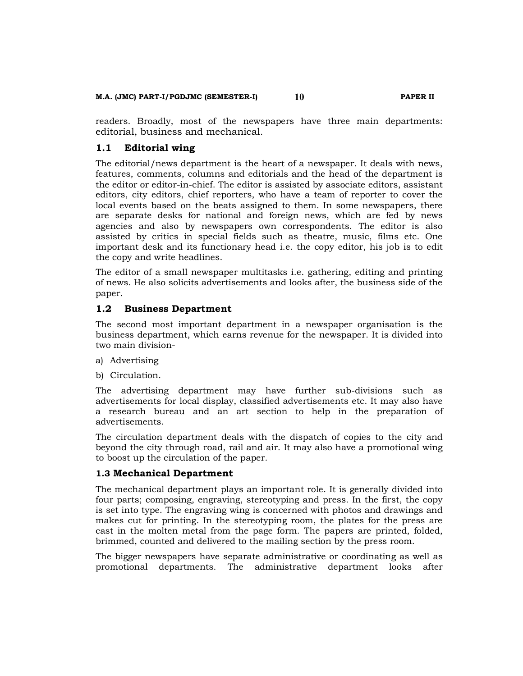#### **M.A. (JMC) PART-I/PGDJMC (SEMESTER-I) 10 PAPER II**

readers. Broadly, most of the newspapers have three main departments: editorial, business and mechanical.

#### **1.1 Editorial wing**

The editorial/news department is the heart of a newspaper. It deals with news, features, comments, columns and editorials and the head of the department is the editor or editor-in-chief. The editor is assisted by associate editors, assistant editors, city editors, chief reporters, who have a team of reporter to cover the local events based on the beats assigned to them. In some newspapers, there are separate desks for national and foreign news, which are fed by news agencies and also by newspapers own correspondents. The editor is also assisted by critics in special fields such as theatre, music, films etc. One important desk and its functionary head i.e. the copy editor, his job is to edit the copy and write headlines.

The editor of a small newspaper multitasks i.e. gathering, editing and printing of news. He also solicits advertisements and looks after, the business side of the paper.

#### **1.2 Business Department**

The second most important department in a newspaper organisation is the business department, which earns revenue for the newspaper. It is divided into two main division-

- a) Advertising
- b) Circulation.

The advertising department may have further sub-divisions such as advertisements for local display, classified advertisements etc. It may also have a research bureau and an art section to help in the preparation of advertisements.

The circulation department deals with the dispatch of copies to the city and beyond the city through road, rail and air. It may also have a promotional wing to boost up the circulation of the paper.

### **1.3 Mechanical Department**

The mechanical department plays an important role. It is generally divided into four parts; composing, engraving, stereotyping and press. In the first, the copy is set into type. The engraving wing is concerned with photos and drawings and makes cut for printing. In the stereotyping room, the plates for the press are cast in the molten metal from the page form. The papers are printed, folded, brimmed, counted and delivered to the mailing section by the press room.

The bigger newspapers have separate administrative or coordinating as well as promotional departments. The administrative department looks after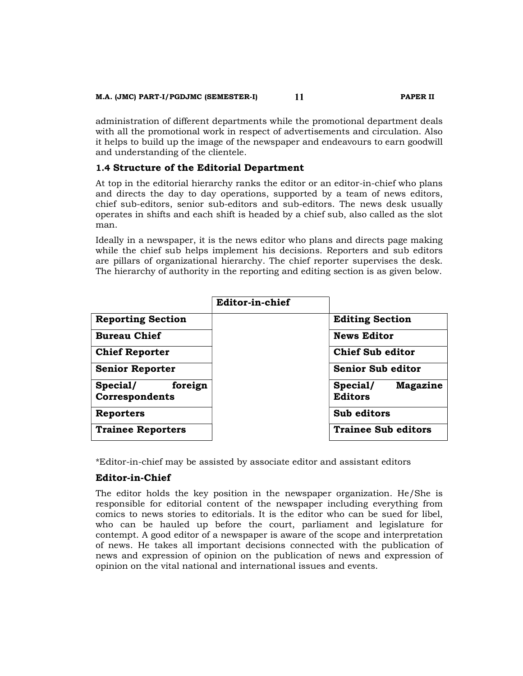administration of different departments while the promotional department deals with all the promotional work in respect of advertisements and circulation. Also it helps to build up the image of the newspaper and endeavours to earn goodwill and understanding of the clientele.

# **1.4 Structure of the Editorial Department**

At top in the editorial hierarchy ranks the editor or an editor-in-chief who plans and directs the day to day operations, supported by a team of news editors, chief sub-editors, senior sub-editors and sub-editors. The news desk usually operates in shifts and each shift is headed by a chief sub, also called as the slot man.

Ideally in a newspaper, it is the news editor who plans and directs page making while the chief sub helps implement his decisions. Reporters and sub editors are pillars of organizational hierarchy. The chief reporter supervises the desk. The hierarchy of authority in the reporting and editing section is as given below.

|                                       | Editor-in-chief |                                        |
|---------------------------------------|-----------------|----------------------------------------|
| <b>Reporting Section</b>              |                 | <b>Editing Section</b>                 |
| <b>Bureau Chief</b>                   |                 | <b>News Editor</b>                     |
| <b>Chief Reporter</b>                 |                 | <b>Chief Sub editor</b>                |
| <b>Senior Reporter</b>                |                 | <b>Senior Sub editor</b>               |
| foreign<br>Special/<br>Correspondents |                 | Special/<br>Magazine<br><b>Editors</b> |
| <b>Reporters</b>                      |                 | Sub editors                            |
| <b>Trainee Reporters</b>              |                 | <b>Trainee Sub editors</b>             |

\*Editor-in-chief may be assisted by associate editor and assistant editors

# **Editor-in-Chief**

The editor holds the key position in the newspaper organization. He/She is responsible for editorial content of the newspaper including everything from comics to news stories to editorials. It is the editor who can be sued for libel, who can be hauled up before the court, parliament and legislature for contempt. A good editor of a newspaper is aware of the scope and interpretation of news. He takes all important decisions connected with the publication of news and expression of opinion on the publication of news and expression of opinion on the vital national and international issues and events.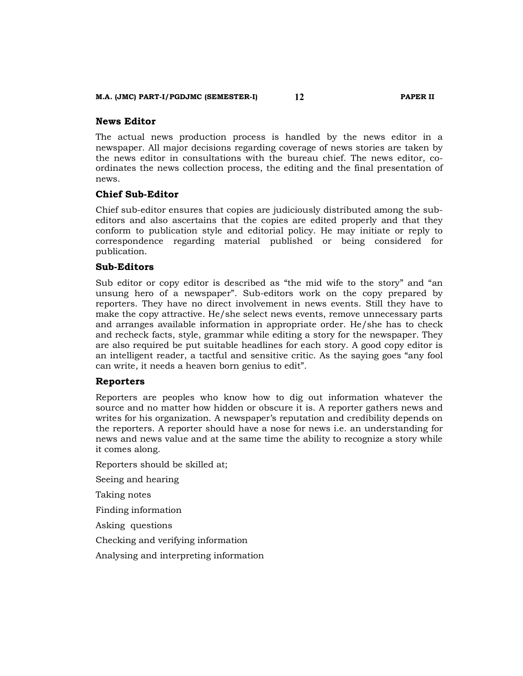#### **News Editor**

The actual news production process is handled by the news editor in a newspaper. All major decisions regarding coverage of news stories are taken by the news editor in consultations with the bureau chief. The news editor, coordinates the news collection process, the editing and the final presentation of news.

#### **Chief Sub-Editor**

Chief sub-editor ensures that copies are judiciously distributed among the subeditors and also ascertains that the copies are edited properly and that they conform to publication style and editorial policy. He may initiate or reply to correspondence regarding material published or being considered for publication.

### **Sub-Editors**

Sub editor or copy editor is described as "the mid wife to the story" and "an unsung hero of a newspaper". Sub-editors work on the copy prepared by reporters. They have no direct involvement in news events. Still they have to make the copy attractive. He/she select news events, remove unnecessary parts and arranges available information in appropriate order. He/she has to check and recheck facts, style, grammar while editing a story for the newspaper. They are also required be put suitable headlines for each story. A good copy editor is an intelligent reader, a tactful and sensitive critic. As the saying goes "any fool can write, it needs a heaven born genius to edit".

#### **Reporters**

Reporters are peoples who know how to dig out information whatever the source and no matter how hidden or obscure it is. A reporter gathers news and writes for his organization. A newspaper's reputation and credibility depends on the reporters. A reporter should have a nose for news i.e. an understanding for news and news value and at the same time the ability to recognize a story while it comes along.

Reporters should be skilled at;

Seeing and hearing

Taking notes

Finding information

Asking questions

Checking and verifying information

Analysing and interpreting information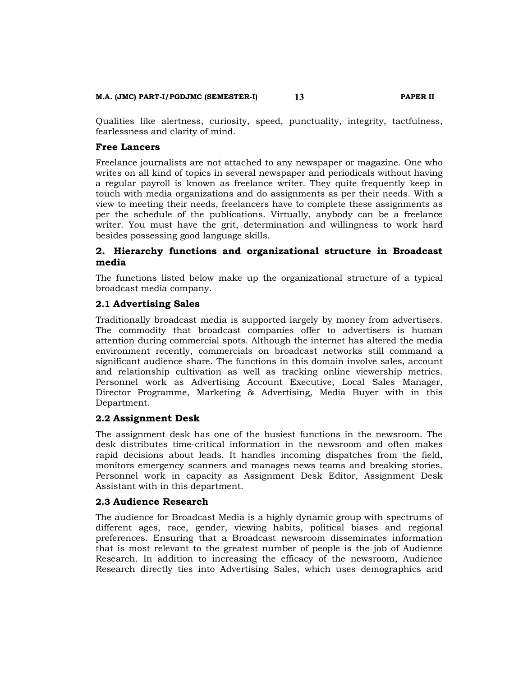#### **M.A. (JMC) PART-I/PGDJMC (SEMESTER-I) 13 PAPER II**

Qualities like alertness, curiosity, speed, punctuality, integrity, tactfulness, fearlessness and clarity of mind.

#### **Free Lancers**

Freelance journalists are not attached to any newspaper or magazine. One who writes on all kind of topics in several newspaper and periodicals without having a regular payroll is known as freelance writer. They quite frequently keep in touch with media organizations and do assignments as per their needs. With a view to meeting their needs, freelancers have to complete these assignments as per the schedule of the publications. Virtually, anybody can be a freelance writer. You must have the grit, determination and willingness to work hard besides possessing good language skills.

# **2. Hierarchy functions and organizational structure in Broadcast media**

The functions listed below make up the organizational structure of a typical broadcast media company.

#### **2.1 Advertising Sales**

Traditionally broadcast media is supported largely by money from advertisers. The commodity that broadcast companies offer to advertisers is human attention during commercial spots. Although the internet has altered the media environment recently, commercials on broadcast networks still command a significant audience share. The functions in this domain involve sales, account and relationship cultivation as well as tracking online viewership metrics. Personnel work as Advertising Account Executive, Local Sales Manager, Director Programme, Marketing & Advertising, Media Buyer with in this Department.

#### **2.2 Assignment Desk**

The assignment desk has one of the busiest functions in the newsroom. The desk distributes time-critical information in the newsroom and often makes rapid decisions about leads. It handles incoming dispatches from the field, monitors emergency scanners and manages news teams and breaking stories. Personnel work in capacity as Assignment Desk Editor, Assignment Desk Assistant with in this department.

#### **2.3 Audience Research**

The audience for Broadcast Media is a highly dynamic group with spectrums of different ages, race, gender, viewing habits, political biases and regional preferences. Ensuring that a Broadcast newsroom disseminates information that is most relevant to the greatest number of people is the job of Audience Research. In addition to increasing the efficacy of the newsroom, Audience Research directly ties into Advertising Sales, which uses demographics and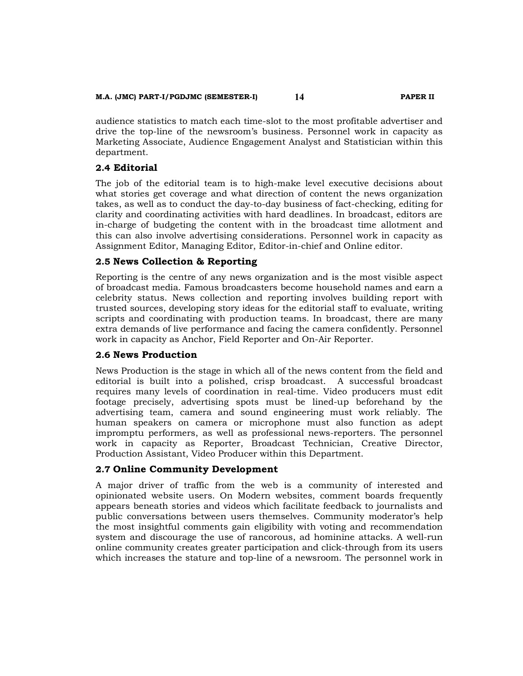#### **M.A. (JMC) PART-I/PGDJMC (SEMESTER-I) 14 PAPER II**

audience statistics to match each time-slot to the most profitable advertiser and drive the top-line of the newsroom's business. Personnel work in capacity as Marketing Associate, Audience Engagement Analyst and Statistician within this department.

# **2.4 Editorial**

The job of the editorial team is to high-make level executive decisions about what stories get coverage and what direction of content the news organization takes, as well as to conduct the day-to-day business of fact-checking, editing for clarity and coordinating activities with hard deadlines. In broadcast, editors are in-charge of budgeting the content with in the broadcast time allotment and this can also involve advertising considerations. Personnel work in capacity as Assignment Editor, Managing Editor, Editor-in-chief and Online editor.

# **2.5 News Collection & Reporting**

Reporting is the centre of any news organization and is the most visible aspect of broadcast media. Famous broadcasters become household names and earn a celebrity status. News collection and reporting involves building report with trusted sources, developing story ideas for the editorial staff to evaluate, writing scripts and coordinating with production teams. In broadcast, there are many extra demands of live performance and facing the camera confidently. Personnel work in capacity as Anchor, Field Reporter and On-Air Reporter.

# **2.6 News Production**

News Production is the stage in which all of the news content from the field and editorial is built into a polished, crisp broadcast. A successful broadcast requires many levels of coordination in real-time. Video producers must edit footage precisely, advertising spots must be lined-up beforehand by the advertising team, camera and sound engineering must work reliably. The human speakers on camera or microphone must also function as adept impromptu performers, as well as professional news-reporters. The personnel work in capacity as Reporter, Broadcast Technician, Creative Director, Production Assistant, Video Producer within this Department.

# **2.7 Online Community Development**

A major driver of traffic from the web is a community of interested and opinionated website users. On Modern websites, comment boards frequently appears beneath stories and videos which facilitate feedback to journalists and public conversations between users themselves. Community moderator's help the most insightful comments gain eligibility with voting and recommendation system and discourage the use of rancorous, ad hominine attacks. A well-run online community creates greater participation and click-through from its users which increases the stature and top-line of a newsroom. The personnel work in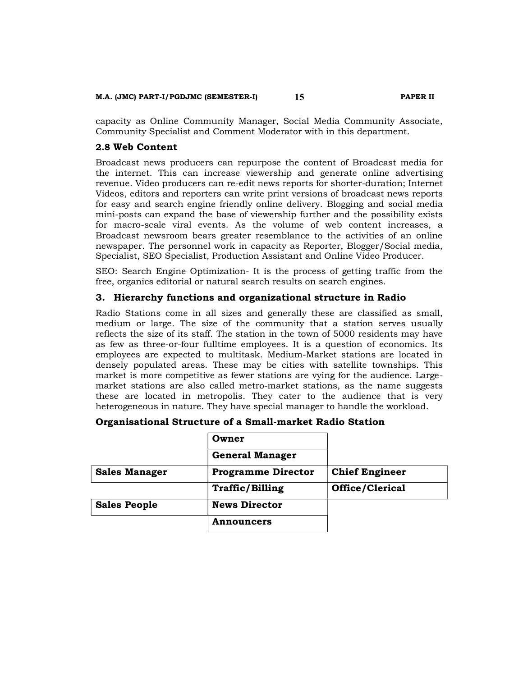#### **M.A. (JMC) PART-I/PGDJMC (SEMESTER-I) 15 PAPER II**

capacity as Online Community Manager, Social Media Community Associate, Community Specialist and Comment Moderator with in this department.

### **2.8 Web Content**

Broadcast news producers can repurpose the content of Broadcast media for the internet. This can increase viewership and generate online advertising revenue. Video producers can re-edit news reports for shorter-duration; Internet Videos, editors and reporters can write print versions of broadcast news reports for easy and search engine friendly online delivery. Blogging and social media mini-posts can expand the base of viewership further and the possibility exists for macro-scale viral events. As the volume of web content increases, a Broadcast newsroom bears greater resemblance to the activities of an online newspaper. The personnel work in capacity as Reporter, Blogger/Social media, Specialist, SEO Specialist, Production Assistant and Online Video Producer.

SEO: Search Engine Optimization- It is the process of getting traffic from the free, organics editorial or natural search results on search engines.

# **3. Hierarchy functions and organizational structure in Radio**

Radio Stations come in all sizes and generally these are classified as small, medium or large. The size of the community that a station serves usually reflects the size of its staff. The station in the town of 5000 residents may have as few as three-or-four fulltime employees. It is a question of economics. Its employees are expected to multitask. Medium-Market stations are located in densely populated areas. These may be cities with satellite townships. This market is more competitive as fewer stations are vying for the audience. Largemarket stations are also called metro-market stations, as the name suggests these are located in metropolis. They cater to the audience that is very heterogeneous in nature. They have special manager to handle the workload.

| Organisational Structure of a Small-market Radio Station |  |  |  |  |  |
|----------------------------------------------------------|--|--|--|--|--|
|----------------------------------------------------------|--|--|--|--|--|

|                      | Owner                     |                       |
|----------------------|---------------------------|-----------------------|
|                      | <b>General Manager</b>    |                       |
| <b>Sales Manager</b> | <b>Programme Director</b> | <b>Chief Engineer</b> |
|                      | <b>Traffic/Billing</b>    | Office/Clerical       |
| <b>Sales People</b>  | <b>News Director</b>      |                       |
|                      | <b>Announcers</b>         |                       |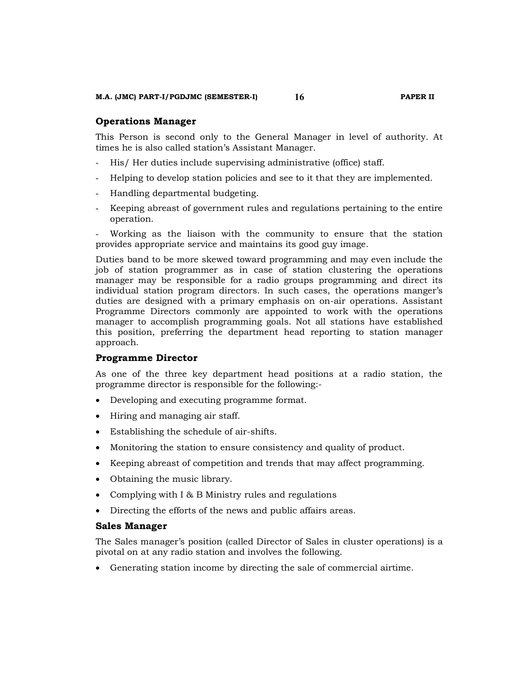#### **Operations Manager**

This Person is second only to the General Manager in level of authority. At times he is also called station's Assistant Manager.

- His/ Her duties include supervising administrative (office) staff.
- Helping to develop station policies and see to it that they are implemented.
- Handling departmental budgeting.
- Keeping abreast of government rules and regulations pertaining to the entire operation.

Working as the liaison with the community to ensure that the station provides appropriate service and maintains its good guy image.

Duties band to be more skewed toward programming and may even include the job of station programmer as in case of station clustering the operations manager may be responsible for a radio groups programming and direct its individual station program directors. In such cases, the operations manger's duties are designed with a primary emphasis on on-air operations. Assistant Programme Directors commonly are appointed to work with the operations manager to accomplish programming goals. Not all stations have established this position, preferring the department head reporting to station manager approach.

#### **Programme Director**

As one of the three key department head positions at a radio station, the programme director is responsible for the following:-

- Developing and executing programme format.
- Hiring and managing air staff.
- Establishing the schedule of air-shifts.
- Monitoring the station to ensure consistency and quality of product.
- Keeping abreast of competition and trends that may affect programming.
- Obtaining the music library.
- Complying with I & B Ministry rules and regulations
- Directing the efforts of the news and public affairs areas.

### **Sales Manager**

The Sales manager's position (called Director of Sales in cluster operations) is a pivotal on at any radio station and involves the following.

Generating station income by directing the sale of commercial airtime.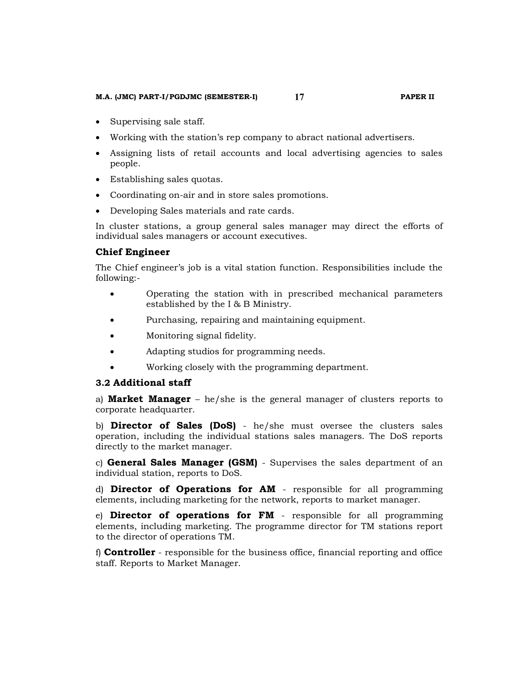#### **M.A. (JMC) PART-I/PGDJMC (SEMESTER-I) 17 PAPER II**

- Supervising sale staff.
- Working with the station's rep company to abract national advertisers.
- Assigning lists of retail accounts and local advertising agencies to sales people.
- Establishing sales quotas.
- Coordinating on-air and in store sales promotions.
- Developing Sales materials and rate cards.

In cluster stations, a group general sales manager may direct the efforts of individual sales managers or account executives.

# **Chief Engineer**

The Chief engineer's job is a vital station function. Responsibilities include the following:-

- Operating the station with in prescribed mechanical parameters established by the I & B Ministry.
- Purchasing, repairing and maintaining equipment.
- Monitoring signal fidelity.
- Adapting studios for programming needs.
- Working closely with the programming department.

# **3.2 Additional staff**

a) **Market Manager** – he/she is the general manager of clusters reports to corporate headquarter.

b) **Director of Sales (DoS)** - he/she must oversee the clusters sales operation, including the individual stations sales managers. The DoS reports directly to the market manager.

c) **General Sales Manager (GSM)** - Supervises the sales department of an individual station, reports to DoS.

d) **Director of Operations for AM** - responsible for all programming elements, including marketing for the network, reports to market manager.

e) **Director of operations for FM** - responsible for all programming elements, including marketing. The programme director for TM stations report to the director of operations TM.

f) **Controller** - responsible for the business office, financial reporting and office staff. Reports to Market Manager.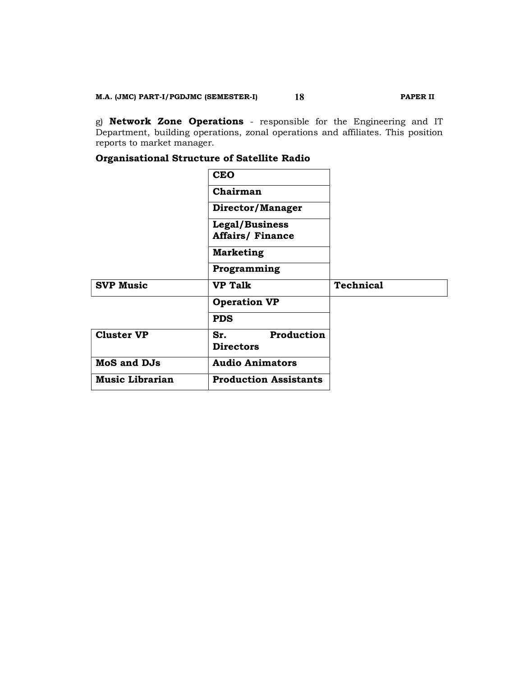g) **Network Zone Operations** - responsible for the Engineering and IT Department, building operations, zonal operations and affiliates. This position reports to market manager.

# **Organisational Structure of Satellite Radio**

|                    | <b>CEO</b>                                   |                  |
|--------------------|----------------------------------------------|------------------|
|                    | Chairman                                     |                  |
|                    | Director/Manager                             |                  |
|                    | Legal/Business<br><b>Affairs/ Finance</b>    |                  |
|                    | <b>Marketing</b>                             |                  |
|                    | Programming                                  |                  |
|                    |                                              |                  |
| <b>SVP Music</b>   | <b>VP Talk</b>                               | <b>Technical</b> |
|                    | <b>Operation VP</b>                          |                  |
|                    | <b>PDS</b>                                   |                  |
| <b>Cluster VP</b>  | <b>Production</b><br>Sr.<br><b>Directors</b> |                  |
| <b>MoS and DJs</b> | <b>Audio Animators</b>                       |                  |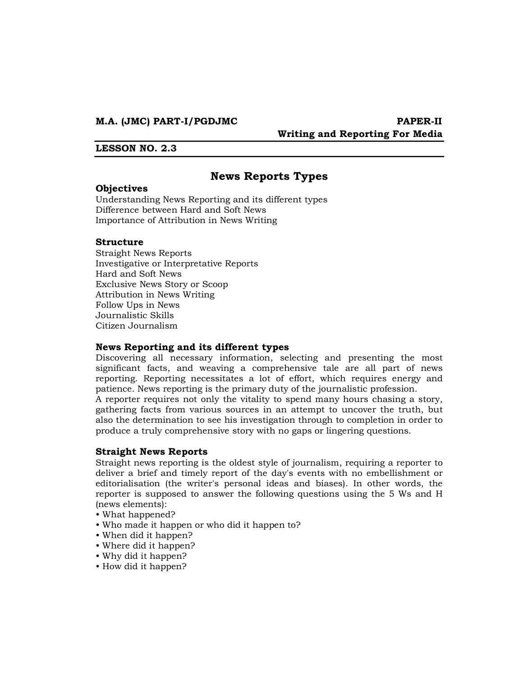#### **M.A. (JMC) PART-I/PGDJMC PAPER-II**

# **Writing and Reporting For Media**

#### **LESSON NO. 2.3**

# **News Reports Types**

#### **Objectives**

Understanding News Reporting and its different types Difference between Hard and Soft News Importance of Attribution in News Writing

#### **Structure**

Straight News Reports Investigative or Interpretative Reports Hard and Soft News Exclusive News Story or Scoop Attribution in News Writing Follow Ups in News Journalistic Skills Citizen Journalism

#### **News Reporting and its different types**

Discovering all necessary information, selecting and presenting the most significant facts, and weaving a comprehensive tale are all part of news reporting. Reporting necessitates a lot of effort, which requires energy and patience. News reporting is the primary duty of the journalistic profession.

A reporter requires not only the vitality to spend many hours chasing a story, gathering facts from various sources in an attempt to uncover the truth, but also the determination to see his investigation through to completion in order to produce a truly comprehensive story with no gaps or lingering questions.

#### **Straight News Reports**

Straight news reporting is the oldest style of journalism, requiring a reporter to deliver a brief and timely report of the day's events with no embellishment or editorialisation (the writer's personal ideas and biases). In other words, the reporter is supposed to answer the following questions using the 5 Ws and H (news elements):

- What happened?
- Who made it happen or who did it happen to?
- When did it happen?
- Where did it happen?
- Why did it happen?
- How did it happen?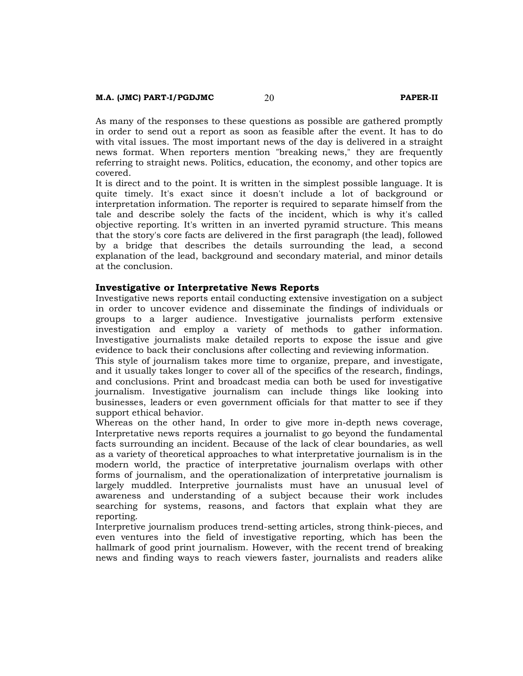As many of the responses to these questions as possible are gathered promptly in order to send out a report as soon as feasible after the event. It has to do with vital issues. The most important news of the day is delivered in a straight news format. When reporters mention "breaking news," they are frequently referring to straight news. Politics, education, the economy, and other topics are covered.

It is direct and to the point. It is written in the simplest possible language. It is quite timely. It's exact since it doesn't include a lot of background or interpretation information. The reporter is required to separate himself from the tale and describe solely the facts of the incident, which is why it's called objective reporting. It's written in an inverted pyramid structure. This means that the story's core facts are delivered in the first paragraph (the lead), followed by a bridge that describes the details surrounding the lead, a second explanation of the lead, background and secondary material, and minor details at the conclusion.

#### **Investigative or Interpretative News Reports**

Investigative news reports entail conducting extensive investigation on a subject in order to uncover evidence and disseminate the findings of individuals or groups to a larger audience. Investigative journalists perform extensive investigation and employ a variety of methods to gather information. Investigative journalists make detailed reports to expose the issue and give evidence to back their conclusions after collecting and reviewing information.

This style of journalism takes more time to organize, prepare, and investigate, and it usually takes longer to cover all of the specifics of the research, findings, and conclusions. Print and broadcast media can both be used for investigative journalism. Investigative journalism can include things like looking into businesses, leaders or even government officials for that matter to see if they support ethical behavior.

Whereas on the other hand, In order to give more in-depth news coverage, Interpretative news reports requires a journalist to go beyond the fundamental facts surrounding an incident. Because of the lack of clear boundaries, as well as a variety of theoretical approaches to what interpretative journalism is in the modern world, the practice of interpretative journalism overlaps with other forms of journalism, and the operationalization of interpretative journalism is largely muddled. Interpretive journalists must have an unusual level of awareness and understanding of a subject because their work includes searching for systems, reasons, and factors that explain what they are reporting.

Interpretive journalism produces trend-setting articles, strong think-pieces, and even ventures into the field of investigative reporting, which has been the hallmark of good print journalism. However, with the recent trend of breaking news and finding ways to reach viewers faster, journalists and readers alike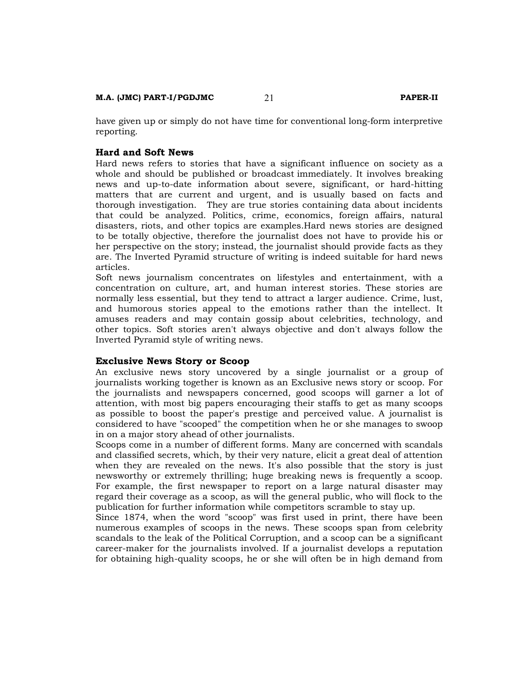have given up or simply do not have time for conventional long-form interpretive reporting.

#### **Hard and Soft News**

Hard news refers to stories that have a significant influence on society as a whole and should be published or broadcast immediately. It involves breaking news and up-to-date information about severe, significant, or hard-hitting matters that are current and urgent, and is usually based on facts and thorough investigation. They are true stories containing data about incidents that could be analyzed. Politics, crime, economics, foreign affairs, natural disasters, riots, and other topics are examples.Hard news stories are designed to be totally objective, therefore the journalist does not have to provide his or her perspective on the story; instead, the journalist should provide facts as they are. The Inverted Pyramid structure of writing is indeed suitable for hard news articles.

Soft news journalism concentrates on lifestyles and entertainment, with a concentration on culture, art, and human interest stories. These stories are normally less essential, but they tend to attract a larger audience. Crime, lust, and humorous stories appeal to the emotions rather than the intellect. It amuses readers and may contain gossip about celebrities, technology, and other topics. Soft stories aren't always objective and don't always follow the Inverted Pyramid style of writing news.

#### **Exclusive News Story or Scoop**

An exclusive news story uncovered by a single journalist or a group of journalists working together is known as an Exclusive news story or scoop. For the journalists and newspapers concerned, good scoops will garner a lot of attention, with most big papers encouraging their staffs to get as many scoops as possible to boost the paper's prestige and perceived value. A journalist is considered to have "scooped" the competition when he or she manages to swoop in on a major story ahead of other journalists.

Scoops come in a number of different forms. Many are concerned with scandals and classified secrets, which, by their very nature, elicit a great deal of attention when they are revealed on the news. It's also possible that the story is just newsworthy or extremely thrilling; huge breaking news is frequently a scoop. For example, the first newspaper to report on a large natural disaster may regard their coverage as a scoop, as will the general public, who will flock to the publication for further information while competitors scramble to stay up.

Since 1874, when the word "scoop" was first used in print, there have been numerous examples of scoops in the news. These scoops span from celebrity scandals to the leak of the Political Corruption, and a scoop can be a significant career-maker for the journalists involved. If a journalist develops a reputation for obtaining high-quality scoops, he or she will often be in high demand from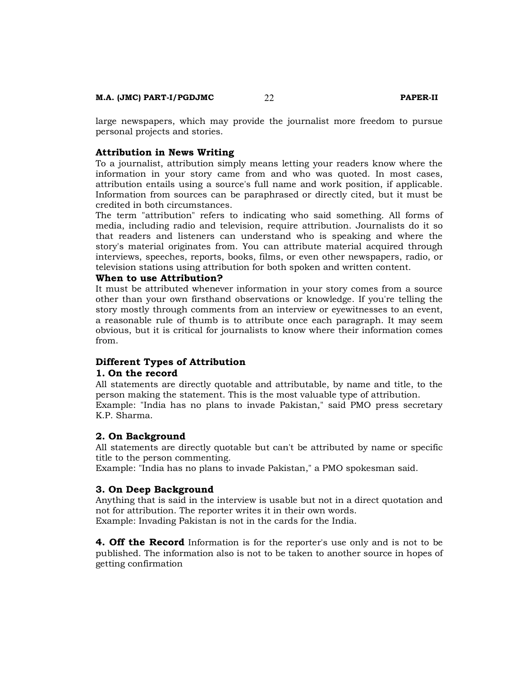large newspapers, which may provide the journalist more freedom to pursue personal projects and stories.

#### **Attribution in News Writing**

To a journalist, attribution simply means letting your readers know where the information in your story came from and who was quoted. In most cases, attribution entails using a source's full name and work position, if applicable. Information from sources can be paraphrased or directly cited, but it must be credited in both circumstances.

The term "attribution" refers to indicating who said something. All forms of media, including radio and television, require attribution. Journalists do it so that readers and listeners can understand who is speaking and where the story's material originates from. You can attribute material acquired through interviews, speeches, reports, books, films, or even other newspapers, radio, or television stations using attribution for both spoken and written content.

#### **When to use Attribution?**

It must be attributed whenever information in your story comes from a source other than your own firsthand observations or knowledge. If you're telling the story mostly through comments from an interview or eyewitnesses to an event, a reasonable rule of thumb is to attribute once each paragraph. It may seem obvious, but it is critical for journalists to know where their information comes from.

#### **Different Types of Attribution**

#### **1. On the record**

All statements are directly quotable and attributable, by name and title, to the person making the statement. This is the most valuable type of attribution. Example: "India has no plans to invade Pakistan," said PMO press secretary K.P. Sharma.

#### **2. On Background**

All statements are directly quotable but can't be attributed by name or specific title to the person commenting.

Example: "India has no plans to invade Pakistan," a PMO spokesman said.

#### **3. On Deep Background**

Anything that is said in the interview is usable but not in a direct quotation and not for attribution. The reporter writes it in their own words. Example: Invading Pakistan is not in the cards for the India.

**4. Off the Record** Information is for the reporter's use only and is not to be published. The information also is not to be taken to another source in hopes of getting confirmation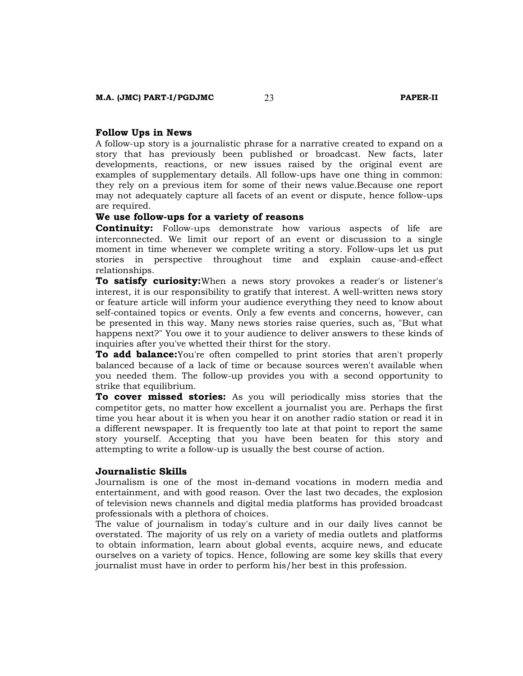#### **Follow Ups in News**

A follow-up story is a journalistic phrase for a narrative created to expand on a story that has previously been published or broadcast. New facts, later developments, reactions, or new issues raised by the original event are examples of supplementary details. All follow-ups have one thing in common: they rely on a previous item for some of their news value.Because one report may not adequately capture all facets of an event or dispute, hence follow-ups are required.

#### **We use follow-ups for a variety of reasons**

**Continuity:** Follow-ups demonstrate how various aspects of life are interconnected. We limit our report of an event or discussion to a single moment in time whenever we complete writing a story. Follow-ups let us put stories in perspective throughout time and explain cause-and-effect relationships.

**To satisfy curiosity:**When a news story provokes a reader's or listener's interest, it is our responsibility to gratify that interest. A well-written news story or feature article will inform your audience everything they need to know about self-contained topics or events. Only a few events and concerns, however, can be presented in this way. Many news stories raise queries, such as, "But what happens next?" You owe it to your audience to deliver answers to these kinds of inquiries after you've whetted their thirst for the story.

**To add balance:**You're often compelled to print stories that aren't properly balanced because of a lack of time or because sources weren't available when you needed them. The follow-up provides you with a second opportunity to strike that equilibrium.

**To cover missed stories:** As you will periodically miss stories that the competitor gets, no matter how excellent a journalist you are. Perhaps the first time you hear about it is when you hear it on another radio station or read it in a different newspaper. It is frequently too late at that point to report the same story yourself. Accepting that you have been beaten for this story and attempting to write a follow-up is usually the best course of action.

#### **Journalistic Skills**

Journalism is one of the most in-demand vocations in modern media and entertainment, and with good reason. Over the last two decades, the explosion of television news channels and digital media platforms has provided broadcast professionals with a plethora of choices.

The value of journalism in today's culture and in our daily lives cannot be overstated. The majority of us rely on a variety of media outlets and platforms to obtain information, learn about global events, acquire news, and educate ourselves on a variety of topics. Hence, following are some key skills that every journalist must have in order to perform his/her best in this profession.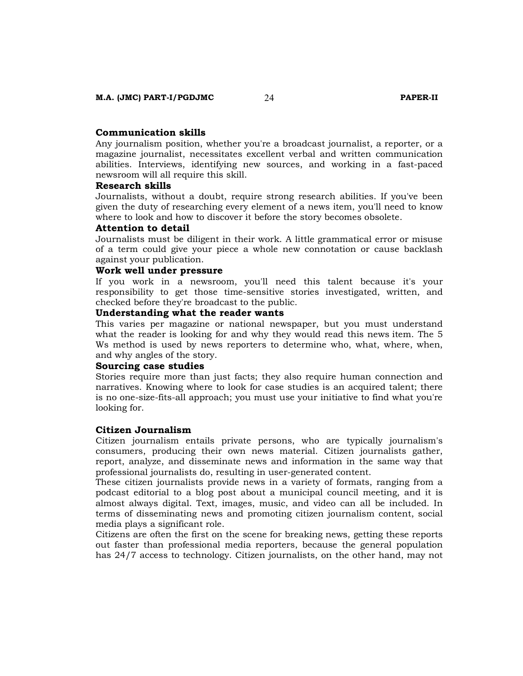#### **Communication skills**

Any journalism position, whether you're a broadcast journalist, a reporter, or a magazine journalist, necessitates excellent verbal and written communication abilities. Interviews, identifying new sources, and working in a fast-paced newsroom will all require this skill.

### **Research skills**

Journalists, without a doubt, require strong research abilities. If you've been given the duty of researching every element of a news item, you'll need to know where to look and how to discover it before the story becomes obsolete.

#### **Attention to detail**

Journalists must be diligent in their work. A little grammatical error or misuse of a term could give your piece a whole new connotation or cause backlash against your publication.

#### **Work well under pressure**

If you work in a newsroom, you'll need this talent because it's your responsibility to get those time-sensitive stories investigated, written, and checked before they're broadcast to the public.

#### **Understanding what the reader wants**

This varies per magazine or national newspaper, but you must understand what the reader is looking for and why they would read this news item. The 5 Ws method is used by news reporters to determine who, what, where, when, and why angles of the story.

#### **Sourcing case studies**

Stories require more than just facts; they also require human connection and narratives. Knowing where to look for case studies is an acquired talent; there is no one-size-fits-all approach; you must use your initiative to find what you're looking for.

#### **Citizen Journalism**

Citizen journalism entails private persons, who are typically journalism's consumers, producing their own news material. Citizen journalists gather, report, analyze, and disseminate news and information in the same way that professional journalists do, resulting in user-generated content.

These citizen journalists provide news in a variety of formats, ranging from a podcast editorial to a blog post about a municipal council meeting, and it is almost always digital. Text, images, music, and video can all be included. In terms of disseminating news and promoting citizen journalism content, social media plays a significant role.

Citizens are often the first on the scene for breaking news, getting these reports out faster than professional media reporters, because the general population has 24/7 access to technology. Citizen journalists, on the other hand, may not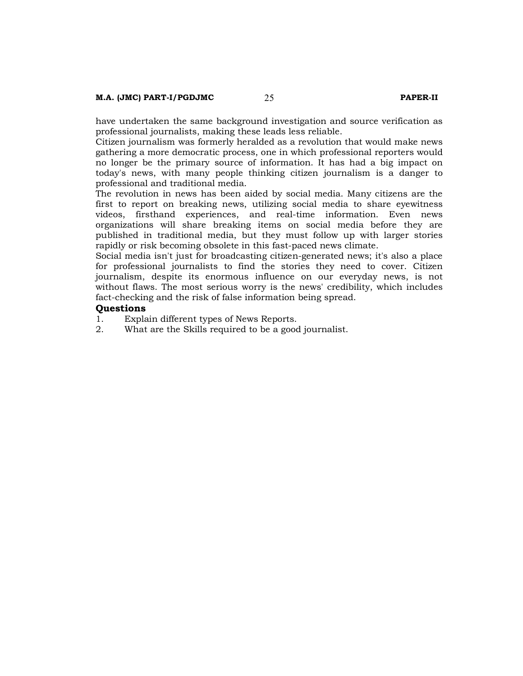have undertaken the same background investigation and source verification as professional journalists, making these leads less reliable.

Citizen journalism was formerly heralded as a revolution that would make news gathering a more democratic process, one in which professional reporters would no longer be the primary source of information. It has had a big impact on today's news, with many people thinking citizen journalism is a danger to professional and traditional media.

The revolution in news has been aided by social media. Many citizens are the first to report on breaking news, utilizing social media to share eyewitness videos, firsthand experiences, and real-time information. Even news organizations will share breaking items on social media before they are published in traditional media, but they must follow up with larger stories rapidly or risk becoming obsolete in this fast-paced news climate.

Social media isn't just for broadcasting citizen-generated news; it's also a place for professional journalists to find the stories they need to cover. Citizen journalism, despite its enormous influence on our everyday news, is not without flaws. The most serious worry is the news' credibility, which includes fact-checking and the risk of false information being spread.

# **Questions**

- Explain different types of News Reports.
- 2. What are the Skills required to be a good journalist.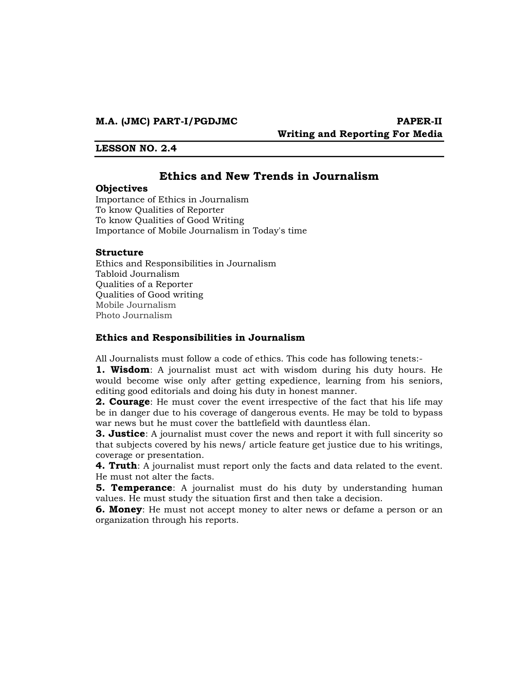**Writing and Reporting For Media** 

#### **LESSON NO. 2.4**

# **Ethics and New Trends in Journalism**

#### **Objectives**

Importance of Ethics in Journalism To know Qualities of Reporter To know Qualities of Good Writing Importance of Mobile Journalism in Today's time

#### **Structure**

Ethics and Responsibilities in Journalism Tabloid Journalism Qualities of a Reporter Qualities of Good writing Mobile Journalism Photo Journalism

### **Ethics and Responsibilities in Journalism**

All Journalists must follow a code of ethics. This code has following tenets:-

**1. Wisdom**: A journalist must act with wisdom during his duty hours. He would become wise only after getting expedience, learning from his seniors, editing good editorials and doing his duty in honest manner.

**2. Courage**: He must cover the event irrespective of the fact that his life may be in danger due to his coverage of dangerous events. He may be told to bypass war news but he must cover the battlefield with dauntless élan.

**3. Justice**: A journalist must cover the news and report it with full sincerity so that subjects covered by his news/ article feature get justice due to his writings, coverage or presentation.

**4. Truth**: A journalist must report only the facts and data related to the event. He must not alter the facts.

**5. Temperance**: A journalist must do his duty by understanding human values. He must study the situation first and then take a decision.

**6. Money**: He must not accept money to alter news or defame a person or an organization through his reports.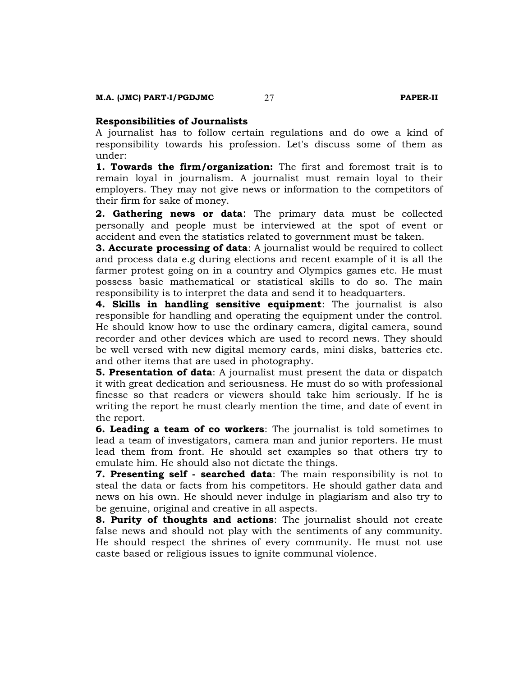#### **Responsibilities of Journalists**

A journalist has to follow certain regulations and do owe a kind of responsibility towards his profession. Let's discuss some of them as under:

**1. Towards the firm/organization:** The first and foremost trait is to remain loyal in journalism. A journalist must remain loyal to their employers. They may not give news or information to the competitors of their firm for sake of money.

**2. Gathering news or data**: The primary data must be collected personally and people must be interviewed at the spot of event or accident and even the statistics related to government must be taken.

**3. Accurate processing of data**: A journalist would be required to collect and process data e.g during elections and recent example of it is all the farmer protest going on in a country and Olympics games etc. He must possess basic mathematical or statistical skills to do so. The main responsibility is to interpret the data and send it to headquarters.

**4. Skills in handling sensitive equipment**: The journalist is also responsible for handling and operating the equipment under the control. He should know how to use the ordinary camera, digital camera, sound recorder and other devices which are used to record news. They should be well versed with new digital memory cards, mini disks, batteries etc. and other items that are used in photography.

**5. Presentation of data**: A journalist must present the data or dispatch it with great dedication and seriousness. He must do so with professional finesse so that readers or viewers should take him seriously. If he is writing the report he must clearly mention the time, and date of event in the report.

**6. Leading a team of co workers**: The journalist is told sometimes to lead a team of investigators, camera man and junior reporters. He must lead them from front. He should set examples so that others try to emulate him. He should also not dictate the things.

**7. Presenting self - searched data**: The main responsibility is not to steal the data or facts from his competitors. He should gather data and news on his own. He should never indulge in plagiarism and also try to be genuine, original and creative in all aspects.

**8. Purity of thoughts and actions**: The journalist should not create false news and should not play with the sentiments of any community. He should respect the shrines of every community. He must not use caste based or religious issues to ignite communal violence.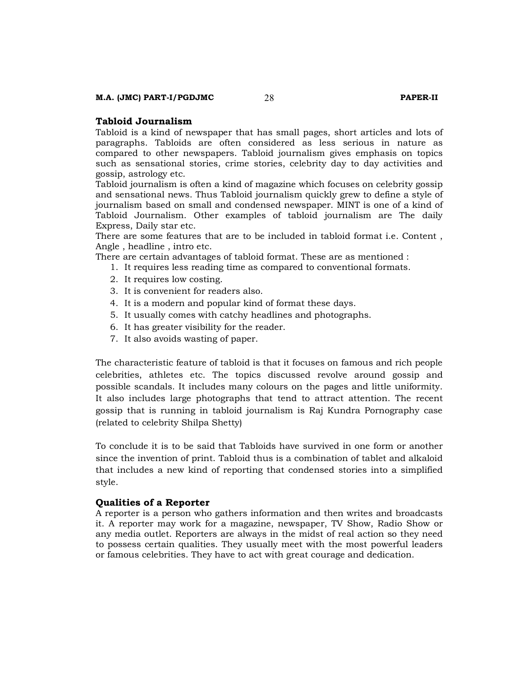#### **Tabloid Journalism**

Tabloid is a kind of newspaper that has small pages, short articles and lots of paragraphs. Tabloids are often considered as less serious in nature as compared to other newspapers. Tabloid journalism gives emphasis on topics such as sensational stories, crime stories, celebrity day to day activities and gossip, astrology etc.

Tabloid journalism is often a kind of magazine which focuses on celebrity gossip and sensational news. Thus Tabloid journalism quickly grew to define a style of journalism based on small and condensed newspaper. MINT is one of a kind of Tabloid Journalism. Other examples of tabloid journalism are The daily Express, Daily star etc.

There are some features that are to be included in tabloid format i.e. Content , Angle , headline , intro etc.

There are certain advantages of tabloid format. These are as mentioned :

- 1. It requires less reading time as compared to conventional formats.
- 2. It requires low costing.
- 3. It is convenient for readers also.
- 4. It is a modern and popular kind of format these days.
- 5. It usually comes with catchy headlines and photographs.
- 6. It has greater visibility for the reader.
- 7. It also avoids wasting of paper.

The characteristic feature of tabloid is that it focuses on famous and rich people celebrities, athletes etc. The topics discussed revolve around gossip and possible scandals. It includes many colours on the pages and little uniformity. It also includes large photographs that tend to attract attention. The recent gossip that is running in tabloid journalism is Raj Kundra Pornography case (related to celebrity Shilpa Shetty)

To conclude it is to be said that Tabloids have survived in one form or another since the invention of print. Tabloid thus is a combination of tablet and alkaloid that includes a new kind of reporting that condensed stories into a simplified style.

#### **Qualities of a Reporter**

A reporter is a person who gathers information and then writes and broadcasts it. A reporter may work for a magazine, newspaper, TV Show, Radio Show or any media outlet. Reporters are always in the midst of real action so they need to possess certain qualities. They usually meet with the most powerful leaders or famous celebrities. They have to act with great courage and dedication.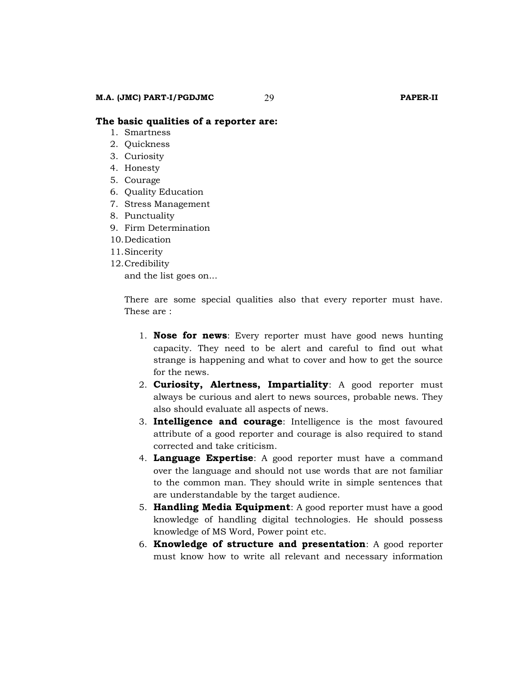- 1. Smartness
- 2. Quickness
- 3. Curiosity
- 4. Honesty
- 5. Courage
- 6. Quality Education
- 7. Stress Management
- 8. Punctuality
- 9. Firm Determination
- 10.Dedication
- 11.Sincerity
- 12.Credibility and the list goes on...

There are some special qualities also that every reporter must have. These are :

- 1. **Nose for news**: Every reporter must have good news hunting capacity. They need to be alert and careful to find out what strange is happening and what to cover and how to get the source for the news.
- 2. **Curiosity, Alertness, Impartiality**: A good reporter must always be curious and alert to news sources, probable news. They also should evaluate all aspects of news.
- 3. **Intelligence and courage**: Intelligence is the most favoured attribute of a good reporter and courage is also required to stand corrected and take criticism.
- 4. **Language Expertise**: A good reporter must have a command over the language and should not use words that are not familiar to the common man. They should write in simple sentences that are understandable by the target audience.
- 5. **Handling Media Equipment**: A good reporter must have a good knowledge of handling digital technologies. He should possess knowledge of MS Word, Power point etc.
- 6. **Knowledge of structure and presentation**: A good reporter must know how to write all relevant and necessary information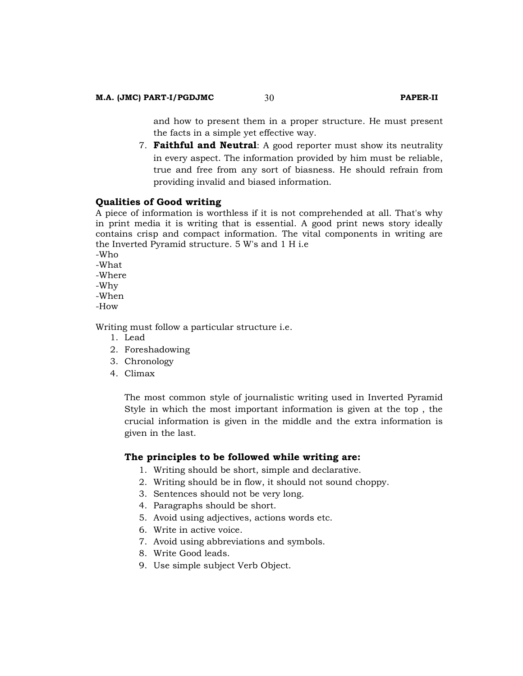and how to present them in a proper structure. He must present the facts in a simple yet effective way.

7. **Faithful and Neutral**: A good reporter must show its neutrality in every aspect. The information provided by him must be reliable, true and free from any sort of biasness. He should refrain from providing invalid and biased information.

#### **Qualities of Good writing**

A piece of information is worthless if it is not comprehended at all. That's why in print media it is writing that is essential. A good print news story ideally contains crisp and compact information. The vital components in writing are the Inverted Pyramid structure. 5 W's and 1 H i.e

-Who -What

-Where

-Why

-When

-How

Writing must follow a particular structure i.e.

- 1. Lead
- 2. Foreshadowing
- 3. Chronology
- 4. Climax

The most common style of journalistic writing used in Inverted Pyramid Style in which the most important information is given at the top , the crucial information is given in the middle and the extra information is given in the last.

#### **The principles to be followed while writing are:**

- 1. Writing should be short, simple and declarative.
- 2. Writing should be in flow, it should not sound choppy.
- 3. Sentences should not be very long.
- 4. Paragraphs should be short.
- 5. Avoid using adjectives, actions words etc.
- 6. Write in active voice.
- 7. Avoid using abbreviations and symbols.
- 8. Write Good leads.
- 9. Use simple subject Verb Object.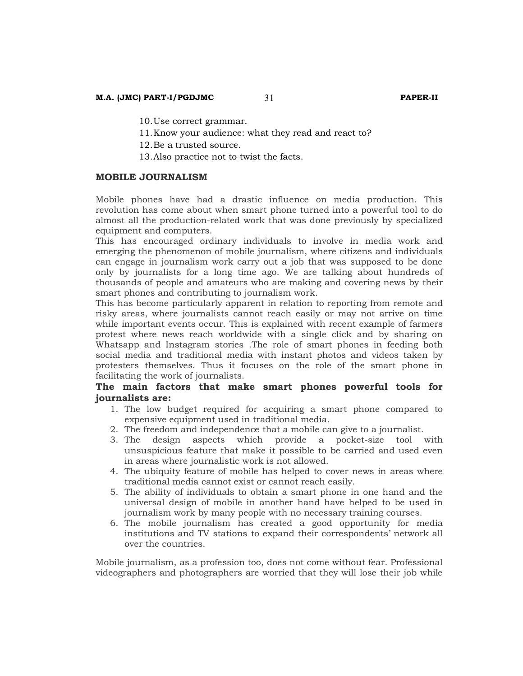10.Use correct grammar.

11.Know your audience: what they read and react to?

12.Be a trusted source.

13.Also practice not to twist the facts.

#### **MOBILE JOURNALISM**

Mobile phones have had a drastic influence on media production. This revolution has come about when smart phone turned into a powerful tool to do almost all the production-related work that was done previously by specialized equipment and computers.

This has encouraged ordinary individuals to involve in media work and emerging the phenomenon of mobile journalism, where citizens and individuals can engage in journalism work carry out a job that was supposed to be done only by journalists for a long time ago. We are talking about hundreds of thousands of people and amateurs who are making and covering news by their smart phones and contributing to journalism work.

This has become particularly apparent in relation to reporting from remote and risky areas, where journalists cannot reach easily or may not arrive on time while important events occur. This is explained with recent example of farmers protest where news reach worldwide with a single click and by sharing on Whatsapp and Instagram stories .The role of smart phones in feeding both social media and traditional media with instant photos and videos taken by protesters themselves. Thus it focuses on the role of the smart phone in facilitating the work of journalists.

# **The main factors that make smart phones powerful tools for journalists are:**

- 1. The low budget required for acquiring a smart phone compared to expensive equipment used in traditional media.
- 2. The freedom and independence that a mobile can give to a journalist.
- 3. The design aspects which provide a pocket-size tool with unsuspicious feature that make it possible to be carried and used even in areas where journalistic work is not allowed.
- 4. The ubiquity feature of mobile has helped to cover news in areas where traditional media cannot exist or cannot reach easily.
- 5. The ability of individuals to obtain a smart phone in one hand and the universal design of mobile in another hand have helped to be used in journalism work by many people with no necessary training courses.
- 6. The mobile journalism has created a good opportunity for media institutions and TV stations to expand their correspondents' network all over the countries.

Mobile journalism, as a profession too, does not come without fear. Professional videographers and photographers are worried that they will lose their job while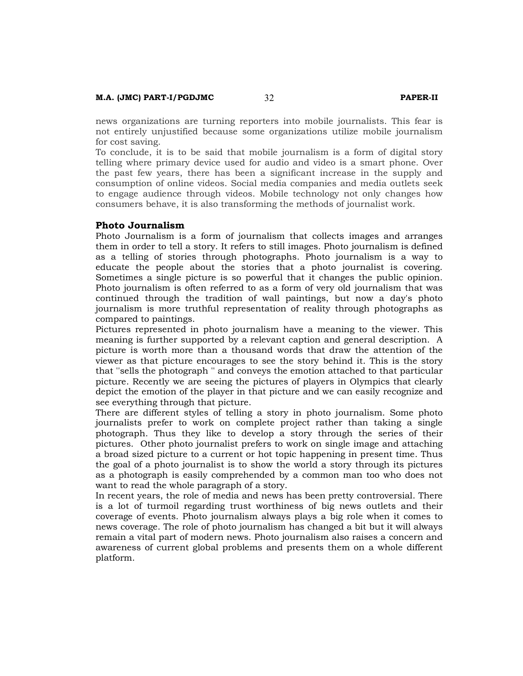news organizations are turning reporters into mobile journalists. This fear is not entirely unjustified because some organizations utilize mobile journalism for cost saving.

To conclude, it is to be said that mobile journalism is a form of digital story telling where primary device used for audio and video is a smart phone. Over the past few years, there has been a significant increase in the supply and consumption of online videos. Social media companies and media outlets seek to engage audience through videos. Mobile technology not only changes how consumers behave, it is also transforming the methods of journalist work.

### **Photo Journalism**

Photo Journalism is a form of journalism that collects images and arranges them in order to tell a story. It refers to still images. Photo journalism is defined as a telling of stories through photographs. Photo journalism is a way to educate the people about the stories that a photo journalist is covering. Sometimes a single picture is so powerful that it changes the public opinion. Photo journalism is often referred to as a form of very old journalism that was continued through the tradition of wall paintings, but now a day's photo journalism is more truthful representation of reality through photographs as compared to paintings.

Pictures represented in photo journalism have a meaning to the viewer. This meaning is further supported by a relevant caption and general description. A picture is worth more than a thousand words that draw the attention of the viewer as that picture encourages to see the story behind it. This is the story that ''sells the photograph '' and conveys the emotion attached to that particular picture. Recently we are seeing the pictures of players in Olympics that clearly depict the emotion of the player in that picture and we can easily recognize and see everything through that picture.

There are different styles of telling a story in photo journalism. Some photo journalists prefer to work on complete project rather than taking a single photograph. Thus they like to develop a story through the series of their pictures. Other photo journalist prefers to work on single image and attaching a broad sized picture to a current or hot topic happening in present time. Thus the goal of a photo journalist is to show the world a story through its pictures as a photograph is easily comprehended by a common man too who does not want to read the whole paragraph of a story.

In recent years, the role of media and news has been pretty controversial. There is a lot of turmoil regarding trust worthiness of big news outlets and their coverage of events. Photo journalism always plays a big role when it comes to news coverage. The role of photo journalism has changed a bit but it will always remain a vital part of modern news. Photo journalism also raises a concern and awareness of current global problems and presents them on a whole different platform.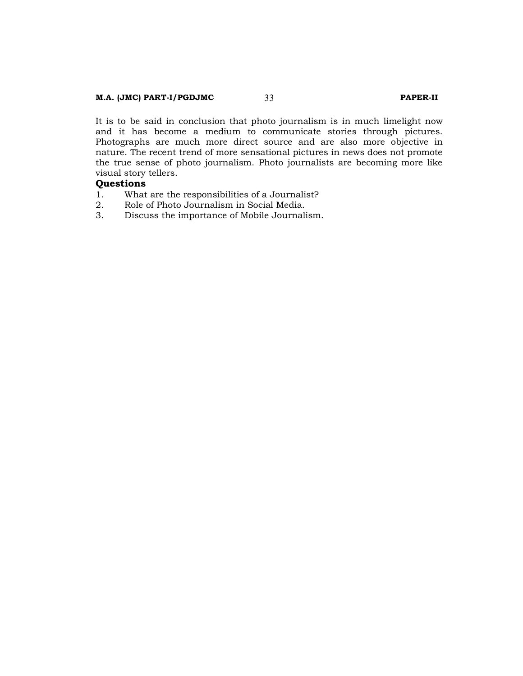#### **M.A. (JMC) PART-I/PGDJMC** 33 **PAPER-II**

It is to be said in conclusion that photo journalism is in much limelight now and it has become a medium to communicate stories through pictures. Photographs are much more direct source and are also more objective in nature. The recent trend of more sensational pictures in news does not promote the true sense of photo journalism. Photo journalists are becoming more like visual story tellers.

# **Questions**

- 1. What are the responsibilities of a Journalist?<br>2. Role of Photo Journalism in Social Media.
- 2. Role of Photo Journalism in Social Media.
- 3. Discuss the importance of Mobile Journalism.